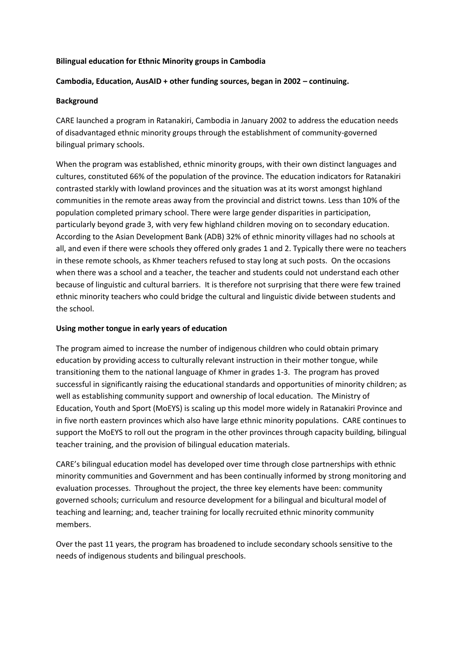### **Bilingual education for Ethnic Minority groups in Cambodia**

## **Cambodia, Education, AusAID + other funding sources, began in 2002 – continuing.**

### **Background**

CARE launched a program in Ratanakiri, Cambodia in January 2002 to address the education needs of disadvantaged ethnic minority groups through the establishment of community-governed bilingual primary schools.

When the program was established, ethnic minority groups, with their own distinct languages and cultures, constituted 66% of the population of the province. The education indicators for Ratanakiri contrasted starkly with lowland provinces and the situation was at its worst amongst highland communities in the remote areas away from the provincial and district towns. Less than 10% of the population completed primary school. There were large gender disparities in participation, particularly beyond grade 3, with very few highland children moving on to secondary education. According to the Asian Development Bank (ADB) 32% of ethnic minority villages had no schools at all, and even if there were schools they offered only grades 1 and 2. Typically there were no teachers in these remote schools, as Khmer teachers refused to stay long at such posts. On the occasions when there was a school and a teacher, the teacher and students could not understand each other because of linguistic and cultural barriers. It is therefore not surprising that there were few trained ethnic minority teachers who could bridge the cultural and linguistic divide between students and the school.

### **Using mother tongue in early years of education**

The program aimed to increase the number of indigenous children who could obtain primary education by providing access to culturally relevant instruction in their mother tongue, while transitioning them to the national language of Khmer in grades 1-3. The program has proved successful in significantly raising the educational standards and opportunities of minority children; as well as establishing community support and ownership of local education. The Ministry of Education, Youth and Sport (MoEYS) is scaling up this model more widely in Ratanakiri Province and in five north eastern provinces which also have large ethnic minority populations. CARE continues to support the MoEYS to roll out the program in the other provinces through capacity building, bilingual teacher training, and the provision of bilingual education materials.

CARE's bilingual education model has developed over time through close partnerships with ethnic minority communities and Government and has been continually informed by strong monitoring and evaluation processes. Throughout the project, the three key elements have been: community governed schools; curriculum and resource development for a bilingual and bicultural model of teaching and learning; and, teacher training for locally recruited ethnic minority community members.

Over the past 11 years, the program has broadened to include secondary schools sensitive to the needs of indigenous students and bilingual preschools.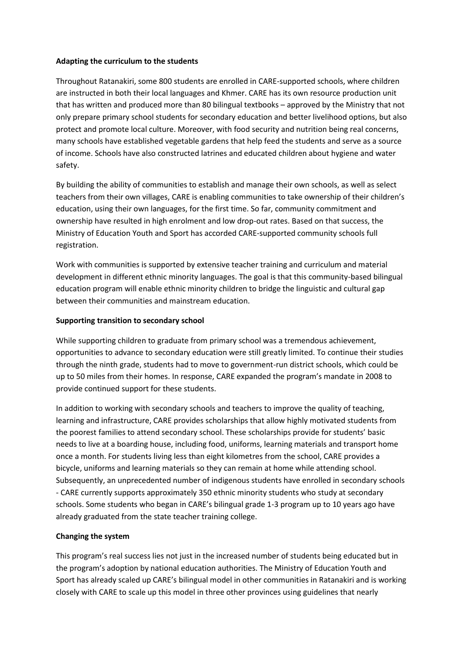### **Adapting the curriculum to the students**

Throughout Ratanakiri, some 800 students are enrolled in CARE-supported schools, where children are instructed in both their local languages and Khmer. CARE has its own resource production unit that has written and produced more than 80 bilingual textbooks – approved by the Ministry that not only prepare primary school students for secondary education and better livelihood options, but also protect and promote local culture. Moreover, with food security and nutrition being real concerns, many schools have established vegetable gardens that help feed the students and serve as a source of income. Schools have also constructed latrines and educated children about hygiene and water safety.

By building the ability of communities to establish and manage their own schools, as well as select teachers from their own villages, CARE is enabling communities to take ownership of their children's education, using their own languages, for the first time. So far, community commitment and ownership have resulted in high enrolment and low drop-out rates. Based on that success, the Ministry of Education Youth and Sport has accorded CARE-supported community schools full registration.

Work with communities is supported by extensive teacher training and curriculum and material development in different ethnic minority languages. The goal is that this community-based bilingual education program will enable ethnic minority children to bridge the linguistic and cultural gap between their communities and mainstream education.

## **Supporting transition to secondary school**

While supporting children to graduate from primary school was a tremendous achievement, opportunities to advance to secondary education were still greatly limited. To continue their studies through the ninth grade, students had to move to government-run district schools, which could be up to 50 miles from their homes. In response, CARE expanded the program's mandate in 2008 to provide continued support for these students.

In addition to working with secondary schools and teachers to improve the quality of teaching, learning and infrastructure, CARE provides scholarships that allow highly motivated students from the poorest families to attend secondary school. These scholarships provide for students' basic needs to live at a boarding house, including food, uniforms, learning materials and transport home once a month. For students living less than eight kilometres from the school, CARE provides a bicycle, uniforms and learning materials so they can remain at home while attending school. Subsequently, an unprecedented number of indigenous students have enrolled in secondary schools - CARE currently supports approximately 350 ethnic minority students who study at secondary schools. Some students who began in CARE's bilingual grade 1-3 program up to 10 years ago have already graduated from the state teacher training college.

# **Changing the system**

This program's real success lies not just in the increased number of students being educated but in the program's adoption by national education authorities. The Ministry of Education Youth and Sport has already scaled up CARE's bilingual model in other communities in Ratanakiri and is working closely with CARE to scale up this model in three other provinces using guidelines that nearly